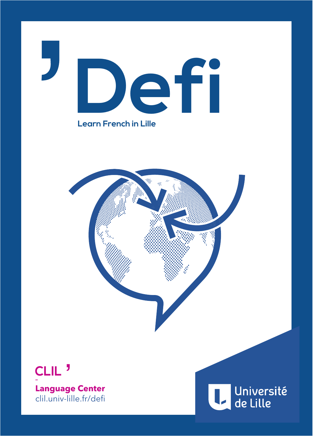

**Learn French in Lille**